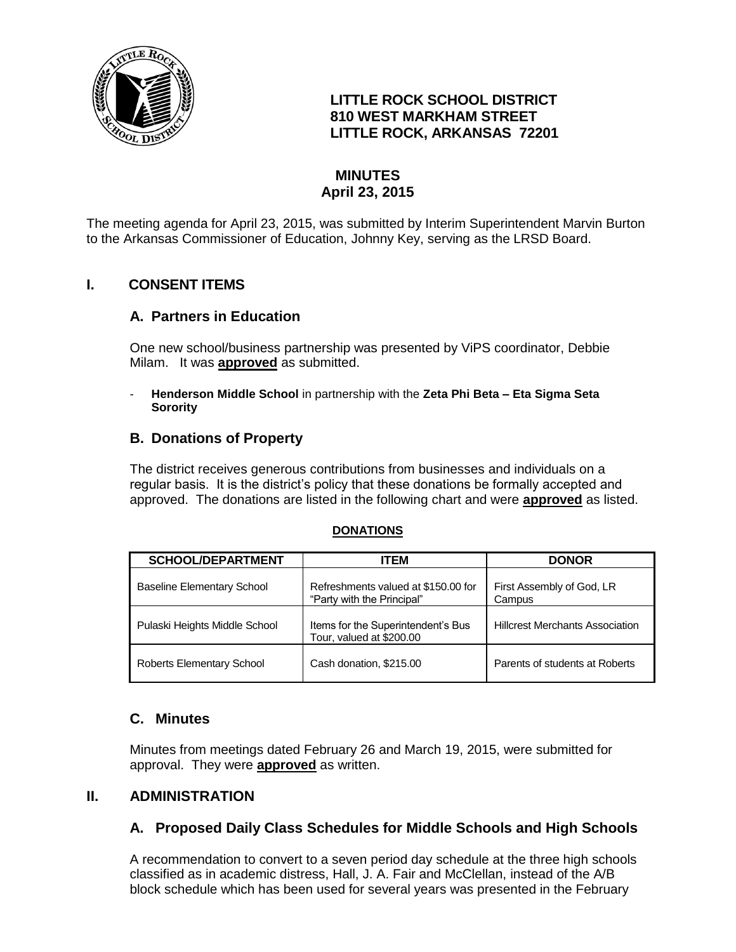

# **LITTLE ROCK SCHOOL DISTRICT 810 WEST MARKHAM STREET LITTLE ROCK, ARKANSAS 72201**

# **MINUTES April 23, 2015**

The meeting agenda for April 23, 2015, was submitted by Interim Superintendent Marvin Burton to the Arkansas Commissioner of Education, Johnny Key, serving as the LRSD Board.

# **I. CONSENT ITEMS**

# **A. Partners in Education**

One new school/business partnership was presented by ViPS coordinator, Debbie Milam. It was **approved** as submitted.

- **Henderson Middle School** in partnership with the **Zeta Phi Beta – Eta Sigma Seta Sorority**

# **B. Donations of Property**

The district receives generous contributions from businesses and individuals on a regular basis. It is the district's policy that these donations be formally accepted and approved. The donations are listed in the following chart and were **approved** as listed.

#### **DONATIONS**

| <b>SCHOOL/DEPARTMENT</b>      | ITEM                                                              | <b>DONOR</b>                           |
|-------------------------------|-------------------------------------------------------------------|----------------------------------------|
| Baseline Elementary School    | Refreshments valued at \$150.00 for<br>"Party with the Principal" | First Assembly of God, LR<br>Campus    |
| Pulaski Heights Middle School | Items for the Superintendent's Bus<br>Tour, valued at \$200.00    | <b>Hillcrest Merchants Association</b> |
| Roberts Elementary School     | Cash donation, \$215.00                                           | Parents of students at Roberts         |

# **C. Minutes**

Minutes from meetings dated February 26 and March 19, 2015, were submitted for approval. They were **approved** as written.

# **II. ADMINISTRATION**

# **A. Proposed Daily Class Schedules for Middle Schools and High Schools**

A recommendation to convert to a seven period day schedule at the three high schools classified as in academic distress, Hall, J. A. Fair and McClellan, instead of the A/B block schedule which has been used for several years was presented in the February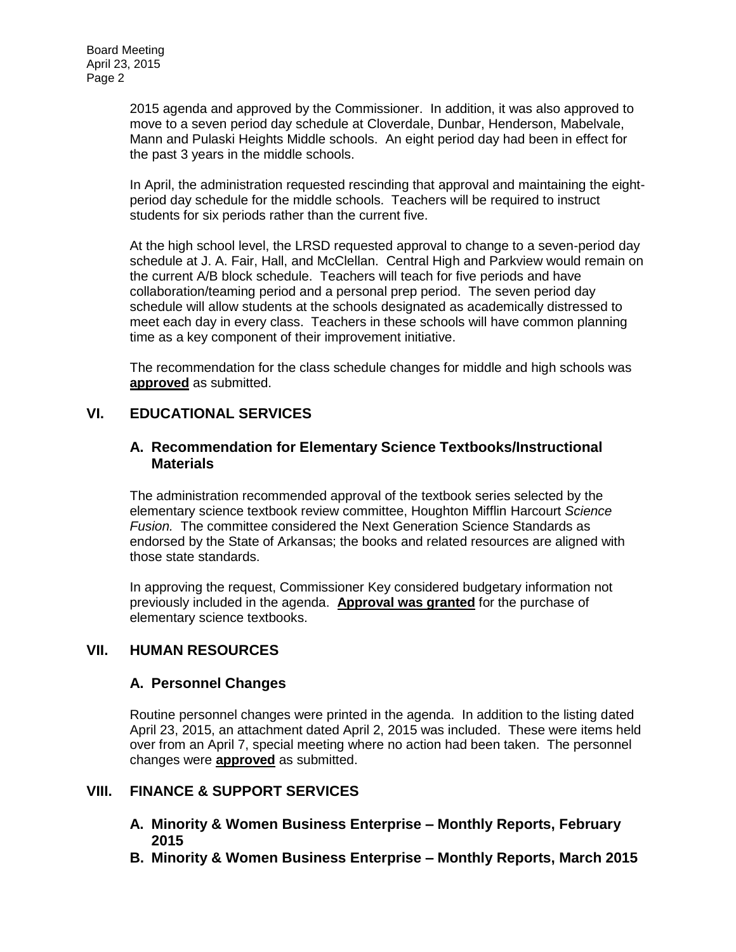2015 agenda and approved by the Commissioner. In addition, it was also approved to move to a seven period day schedule at Cloverdale, Dunbar, Henderson, Mabelvale, Mann and Pulaski Heights Middle schools. An eight period day had been in effect for the past 3 years in the middle schools.

In April, the administration requested rescinding that approval and maintaining the eightperiod day schedule for the middle schools. Teachers will be required to instruct students for six periods rather than the current five.

At the high school level, the LRSD requested approval to change to a seven-period day schedule at J. A. Fair, Hall, and McClellan. Central High and Parkview would remain on the current A/B block schedule. Teachers will teach for five periods and have collaboration/teaming period and a personal prep period. The seven period day schedule will allow students at the schools designated as academically distressed to meet each day in every class. Teachers in these schools will have common planning time as a key component of their improvement initiative.

The recommendation for the class schedule changes for middle and high schools was **approved** as submitted.

# **VI. EDUCATIONAL SERVICES**

#### **A. Recommendation for Elementary Science Textbooks/Instructional Materials**

The administration recommended approval of the textbook series selected by the elementary science textbook review committee, Houghton Mifflin Harcourt *Science Fusion.* The committee considered the Next Generation Science Standards as endorsed by the State of Arkansas; the books and related resources are aligned with those state standards.

In approving the request, Commissioner Key considered budgetary information not previously included in the agenda. **Approval was granted** for the purchase of elementary science textbooks.

# **VII. HUMAN RESOURCES**

#### **A. Personnel Changes**

Routine personnel changes were printed in the agenda. In addition to the listing dated April 23, 2015, an attachment dated April 2, 2015 was included. These were items held over from an April 7, special meeting where no action had been taken. The personnel changes were **approved** as submitted.

# **VIII. FINANCE & SUPPORT SERVICES**

- **A. Minority & Women Business Enterprise – Monthly Reports, February 2015**
- **B. Minority & Women Business Enterprise – Monthly Reports, March 2015**